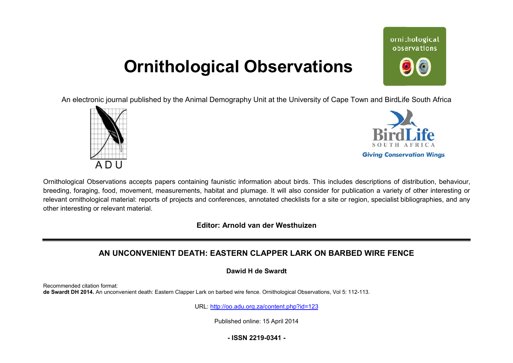## **Ornithological Observations**

ornithological observations

An electronic journal published by the Animal Demography Unit at the University of Cape Town and BirdLife South Africa





Ornithological Observations accepts papers containing faunistic information about birds. This includes descriptions of distribution, behaviour, breeding, foraging, food, movement, measurements, habitat and plumage. It will also consider for publication a variety of other interesting or relevant ornithological material: reports of projects and conferences, annotated checklists for a site or region, specialist bibliographies, and any other interesting or relevant material.

**Editor: Arnold van der Westhuizen**

## **AN UNCONVENIENT DEATH: EASTERN CLAPPER LARK ON BARBED WIRE FENCE**

**Dawid H de Swardt** 

Recommended citation format: **de Swardt DH 2014.** An unconvenient death: Eastern Clapper Lark on barbed wire fence. Ornithological Observations, Vol 5: 112-113.

URL: <http://oo.adu.org.za/content.php?id=123>

Published online: 15 April 2014

**- ISSN 2219-0341 -**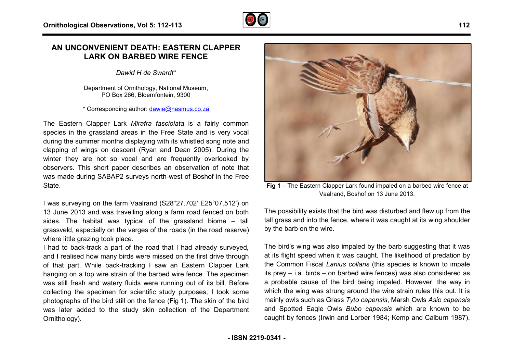## **AN UNCONVENIENT DEATH: EASTERN CLAPPER LARK ON BARBED WIRE FENCE**

*Dawid H de Swardt\**

Department of Ornithology, National Museum, PO Box 266, Bloemfontein, 9300

\* Corresponding author: [dawie@nasmus.co.za](mailto:dawie@nasmus.co.za)

The Eastern Clapper Lark *Mirafra fasciolata* is a fairly common species in the grassland areas in the Free State and is very vocal during the summer months displaying with its whistled song note and clapping of wings on descent (Ryan and Dean 2005). During the winter they are not so vocal and are frequently overlooked by observers. This short paper describes an observation of note that was made during SABAP2 surveys north-west of Boshof in the Free State. was made during SABAP2 surveys north-west of Boshof in the Free<br>State.<br>I was surveying on the farm Vaalrand (S28°27.702' E25°07.512') on

13 June 2013 and was travelling along a farm road fence fenced on both sides. The habitat was typical of the grassland biome  $-$  tall grassveld, especially on the verges of the roads (in the road reserve) where little grazing took place.

I had to back-track a part of the road that I had already surveyed, and I realised how many birds were missed on the first drive through of that part. While back-tracking I saw an Eastern Clapper Lark hanging on a top wire strain of the barbed wire fence. The specimen was still fresh and watery fluids were running out of its bill. Before collecting the specimen for scientific study purposes, I took some photographs of the bird still on the fence (Fig 1). The skin of the bird was later added to the study skin collection of the Department Ornithology). birds were missed on the first drive through<br>tracking. I saw an Eastern Clapper Lark<br>in of the barbed wire fence. The specimen<br>fluids were running out of its bill. Before

Vaalrand, Boshof on 13 June 2013.

The possibility exists that the bird was disturbed and flew up from the tall grass and into the fence, where it was caught at its wing shoulder by the barb on the wire.

Fig 1 – The Eastern Clapper Lark found impaled on a barbed wire fence at<br>Vaalrand, Boshof on 13 June 2013.<br>Was travelling along a farm road fenced on both<br>was typical of the grassland biome – tall<br>yon the verges of the roa The bird's wing was also impaled by the barb suggesting that it was at its flight speed when it was caught. The likelihood of predation by the Common Fiscal *Lanius collaris* (this species is known to impale its prey – i.a. birds – on barbed wire fences) was also considered as a probable cause of the bird being impaled. However, the way in which the wing was strung around the wire strain rules this out. It is mainly owls such as Grass *Tyto capensis*, Marsh Owls *Asio capensis* and Spotted Eagle Owls *Bubo capensis* which are known to be caught by fences (Irwin and Lorber 1984; Kemp and Calburn 1987).